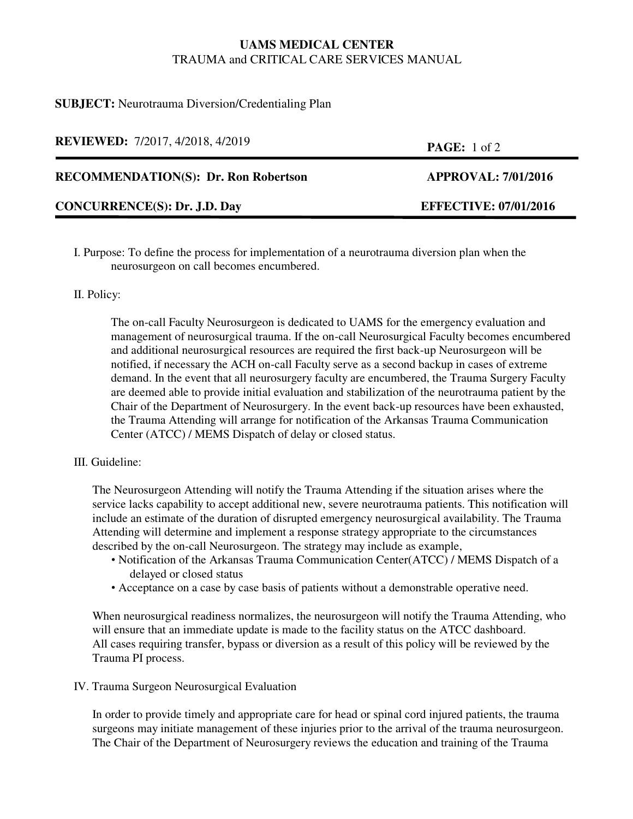# **UAMS MEDICAL CENTER** TRAUMA and CRITICAL CARE SERVICES MANUAL

## **SUBJECT:** Neurotrauma Diversion/Credentialing Plan

| <b>REVIEWED:</b> 7/2017, 4/2018, 4/2019     | <b>PAGE:</b> 1 of 2          |
|---------------------------------------------|------------------------------|
| <b>RECOMMENDATION(S): Dr. Ron Robertson</b> | <b>APPROVAL: 7/01/2016</b>   |
| <b>CONCURRENCE(S): Dr. J.D. Day</b>         | <b>EFFECTIVE: 07/01/2016</b> |

I. Purpose: To define the process for implementation of a neurotrauma diversion plan when the neurosurgeon on call becomes encumbered.

#### II. Policy:

The on-call Faculty Neurosurgeon is dedicated to UAMS for the emergency evaluation and management of neurosurgical trauma. If the on-call Neurosurgical Faculty becomes encumbered and additional neurosurgical resources are required the first back-up Neurosurgeon will be notified, if necessary the ACH on-call Faculty serve as a second backup in cases of extreme demand. In the event that all neurosurgery faculty are encumbered, the Trauma Surgery Faculty are deemed able to provide initial evaluation and stabilization of the neurotrauma patient by the Chair of the Department of Neurosurgery. In the event back-up resources have been exhausted, the Trauma Attending will arrange for notification of the Arkansas Trauma Communication Center (ATCC) / MEMS Dispatch of delay or closed status.

#### III. Guideline:

The Neurosurgeon Attending will notify the Trauma Attending if the situation arises where the service lacks capability to accept additional new, severe neurotrauma patients. This notification will include an estimate of the duration of disrupted emergency neurosurgical availability. The Trauma Attending will determine and implement a response strategy appropriate to the circumstances described by the on-call Neurosurgeon. The strategy may include as example,

- Notification of the Arkansas Trauma Communication Center(ATCC) / MEMS Dispatch of a delayed or closed status
- Acceptance on a case by case basis of patients without a demonstrable operative need.

When neurosurgical readiness normalizes, the neurosurgeon will notify the Trauma Attending, who will ensure that an immediate update is made to the facility status on the ATCC dashboard. All cases requiring transfer, bypass or diversion as a result of this policy will be reviewed by the Trauma PI process.

#### IV. Trauma Surgeon Neurosurgical Evaluation

In order to provide timely and appropriate care for head or spinal cord injured patients, the trauma surgeons may initiate management of these injuries prior to the arrival of the trauma neurosurgeon. The Chair of the Department of Neurosurgery reviews the education and training of the Trauma